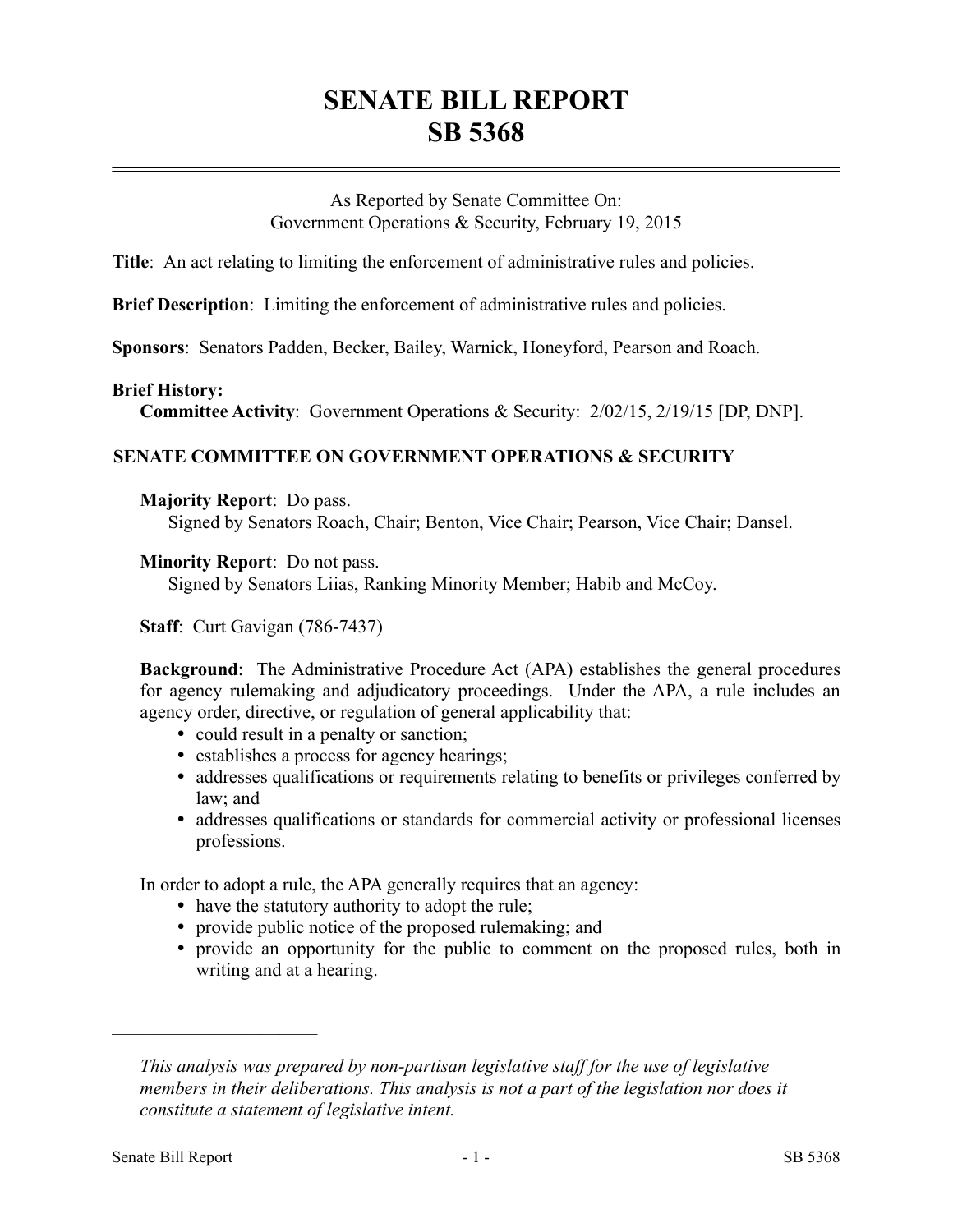# **SENATE BILL REPORT SB 5368**

As Reported by Senate Committee On: Government Operations & Security, February 19, 2015

**Title**: An act relating to limiting the enforcement of administrative rules and policies.

**Brief Description**: Limiting the enforcement of administrative rules and policies.

**Sponsors**: Senators Padden, Becker, Bailey, Warnick, Honeyford, Pearson and Roach.

## **Brief History:**

**Committee Activity**: Government Operations & Security: 2/02/15, 2/19/15 [DP, DNP].

# **SENATE COMMITTEE ON GOVERNMENT OPERATIONS & SECURITY**

#### **Majority Report**: Do pass.

Signed by Senators Roach, Chair; Benton, Vice Chair; Pearson, Vice Chair; Dansel.

## **Minority Report**: Do not pass.

Signed by Senators Liias, Ranking Minority Member; Habib and McCoy.

**Staff**: Curt Gavigan (786-7437)

**Background**: The Administrative Procedure Act (APA) establishes the general procedures for agency rulemaking and adjudicatory proceedings. Under the APA, a rule includes an agency order, directive, or regulation of general applicability that:

- could result in a penalty or sanction;
- establishes a process for agency hearings;
- addresses qualifications or requirements relating to benefits or privileges conferred by law; and
- addresses qualifications or standards for commercial activity or professional licenses professions.

In order to adopt a rule, the APA generally requires that an agency:

- have the statutory authority to adopt the rule;
- provide public notice of the proposed rulemaking; and
- provide an opportunity for the public to comment on the proposed rules, both in writing and at a hearing.

––––––––––––––––––––––

*This analysis was prepared by non-partisan legislative staff for the use of legislative members in their deliberations. This analysis is not a part of the legislation nor does it constitute a statement of legislative intent.*